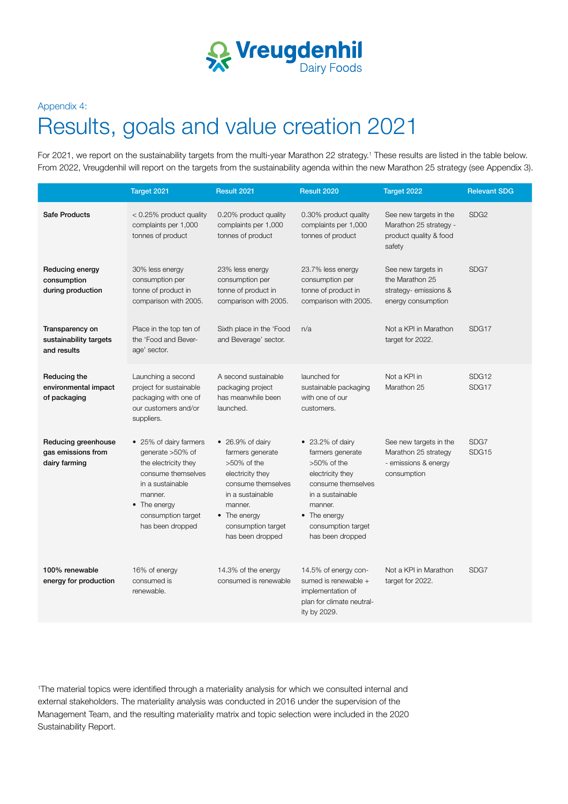

### Appendix 4:

# Results, goals and value creation 2021

For 2021, we report on the sustainability targets from the multi-year Marathon 22 strategy.<sup>1</sup> These results are listed in the table below. From 2022, Vreugdenhil will report on the targets from the sustainability agenda within the new Marathon 25 strategy (see Appendix 3).

|                                                            | Target 2021                                                                                                                                                                       | Result 2021                                                                                                                                                                                       | Result 2020                                                                                                                                                                                       | Target 2022                                                                           | <b>Relevant SDG</b> |
|------------------------------------------------------------|-----------------------------------------------------------------------------------------------------------------------------------------------------------------------------------|---------------------------------------------------------------------------------------------------------------------------------------------------------------------------------------------------|---------------------------------------------------------------------------------------------------------------------------------------------------------------------------------------------------|---------------------------------------------------------------------------------------|---------------------|
| <b>Safe Products</b>                                       | $< 0.25\%$ product quality<br>complaints per 1,000<br>tonnes of product                                                                                                           | 0.20% product quality<br>complaints per 1,000<br>tonnes of product                                                                                                                                | 0.30% product quality<br>complaints per 1,000<br>tonnes of product                                                                                                                                | See new targets in the<br>Marathon 25 strategy -<br>product quality & food<br>safety  | SDG <sub>2</sub>    |
| Reducing energy<br>consumption<br>during production        | 30% less energy<br>consumption per<br>tonne of product in<br>comparison with 2005.                                                                                                | 23% less energy<br>consumption per<br>tonne of product in<br>comparison with 2005.                                                                                                                | 23.7% less energy<br>consumption per<br>tonne of product in<br>comparison with 2005.                                                                                                              | See new targets in<br>the Marathon 25<br>strategy- emissions &<br>energy consumption  | SDG7                |
| Transparency on<br>sustainability targets<br>and results   | Place in the top ten of<br>the 'Food and Bever-<br>age' sector.                                                                                                                   | Sixth place in the 'Food<br>and Beverage' sector.                                                                                                                                                 | n/a                                                                                                                                                                                               | Not a KPI in Marathon<br>target for 2022.                                             | SDG17               |
| Reducing the<br>environmental impact<br>of packaging       | Launching a second<br>project for sustainable<br>packaging with one of<br>our customers and/or<br>suppliers.                                                                      | A second sustainable<br>packaging project<br>has meanwhile been<br>launched.                                                                                                                      | launched for<br>sustainable packaging<br>with one of our<br>customers.                                                                                                                            | Not a KPI in<br>Marathon 25                                                           | SDG12<br>SDG17      |
| Reducing greenhouse<br>gas emissions from<br>dairy farming | • 25% of dairy farmers<br>generate >50% of<br>the electricity they<br>consume themselves<br>in a sustainable<br>manner.<br>• The energy<br>consumption target<br>has been dropped | $\bullet$ 26.9% of dairy<br>farmers generate<br>$>50\%$ of the<br>electricity they<br>consume themselves<br>in a sustainable<br>manner.<br>• The energy<br>consumption target<br>has been dropped | $\bullet$ 23.2% of dairy<br>farmers generate<br>$>50\%$ of the<br>electricity they<br>consume themselves<br>in a sustainable<br>manner.<br>• The energy<br>consumption target<br>has been dropped | See new targets in the<br>Marathon 25 strategy<br>- emissions & energy<br>consumption | SDG7<br>SDG15       |
| 100% renewable<br>energy for production                    | 16% of energy<br>consumed is<br>renewable.                                                                                                                                        | 14.3% of the energy<br>consumed is renewable                                                                                                                                                      | 14.5% of energy con-<br>sumed is renewable +<br>implementation of<br>plan for climate neutral-<br>ity by 2029.                                                                                    | Not a KPI in Marathon<br>target for 2022.                                             | SDG7                |

1 The material topics were identified through a materiality analysis for which we consulted internal and external stakeholders. The materiality analysis was conducted in 2016 under the supervision of the Management Team, and the resulting materiality matrix and topic selection were included in the 2020 Sustainability Report.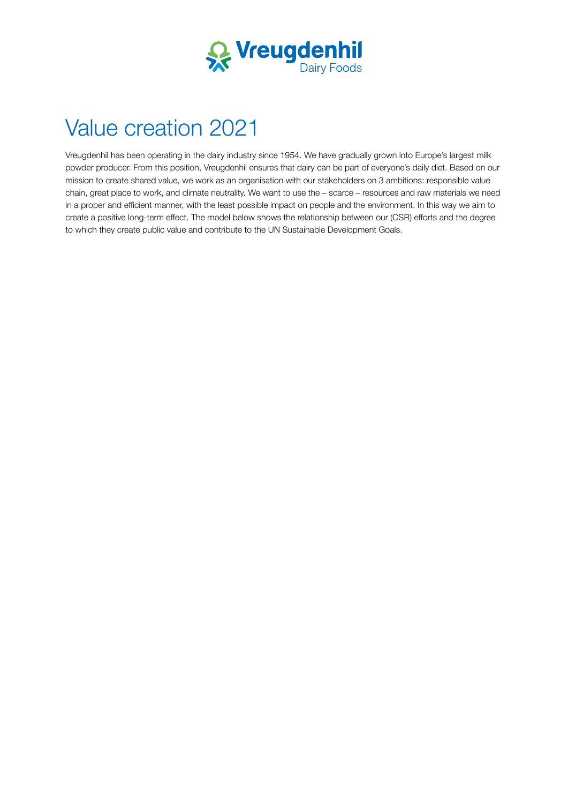

# Value creation 2021

Vreugdenhil has been operating in the dairy industry since 1954. We have gradually grown into Europe's largest milk powder producer. From this position, Vreugdenhil ensures that dairy can be part of everyone's daily diet. Based on our mission to create shared value, we work as an organisation with our stakeholders on 3 ambitions: responsible value chain, great place to work, and climate neutrality. We want to use the – scarce – resources and raw materials we need in a proper and efficient manner, with the least possible impact on people and the environment. In this way we aim to create a positive long-term effect. The model below shows the relationship between our (CSR) efforts and the degree to which they create public value and contribute to the UN Sustainable Development Goals.